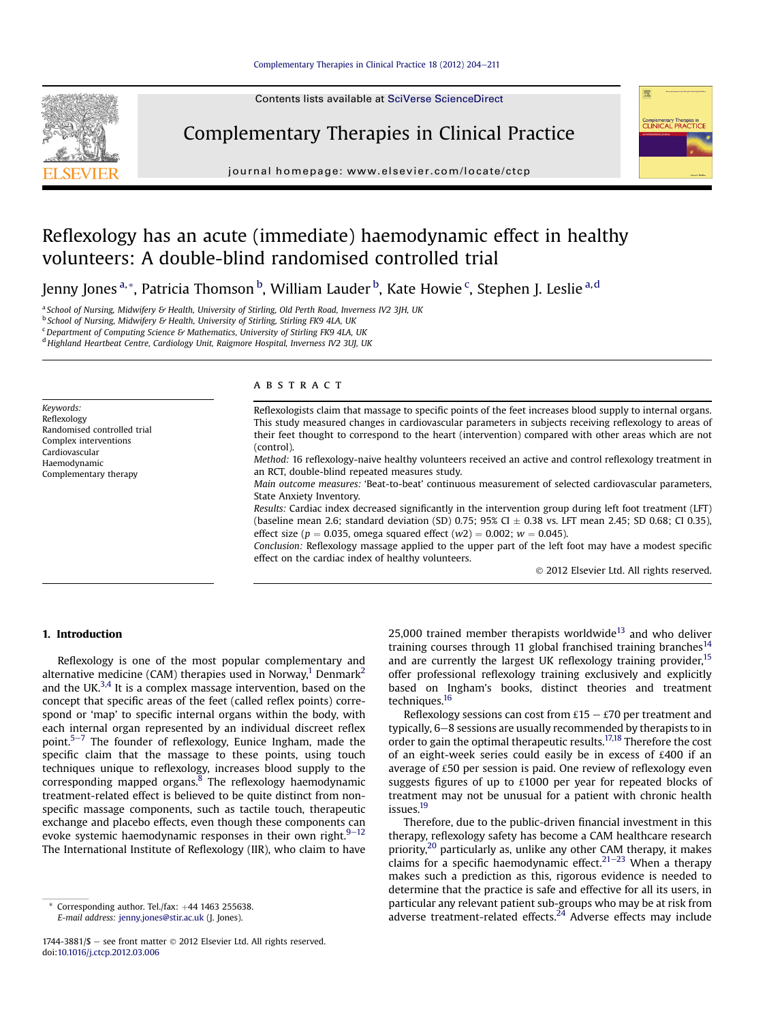Contents lists available at SciVerse ScienceDirect



Complementary Therapies in Clinical Practice



journal homepage: [www.elsevier.com/locate/ctcp](http://www.elsevier.com/locate/ctcp)

# Reflexology has an acute (immediate) haemodynamic effect in healthy volunteers: A double-blind randomised controlled trial

Jenny Jones <sup>a, \*</sup>, Patricia Thomson <sup>b</sup>, William Lauder <sup>b</sup>, Kate Howie <sup>c</sup>, Stephen J. Leslie <sup>a, d</sup>

<sup>a</sup> School of Nursing, Midwifery & Health, University of Stirling, Old Perth Road, Inverness IV2 3[H, UK b School of Nursing, Midwifery & Health, University of Stirling, Stirling FK9 4LA, UK

concerting Computing Science & Mathematics, University of Stirling FK9 4LA, UK

<sup>d</sup> Highland Heartbeat Centre, Cardiology Unit, Raigmore Hospital, Inverness IV2 3UJ, UK

Keywords: Reflexology Randomised controlled trial Complex interventions Cardiovascular Haemodynamic Complementary therapy

## ABSTRACT

Reflexologists claim that massage to specific points of the feet increases blood supply to internal organs. This study measured changes in cardiovascular parameters in subjects receiving reflexology to areas of their feet thought to correspond to the heart (intervention) compared with other areas which are not (control).

Method: 16 reflexology-naive healthy volunteers received an active and control reflexology treatment in an RCT, double-blind repeated measures study.

Main outcome measures: 'Beat-to-beat' continuous measurement of selected cardiovascular parameters, State Anxiety Inventory.

Results: Cardiac index decreased significantly in the intervention group during left foot treatment (LFT) (baseline mean 2.6; standard deviation (SD) 0.75;  $95\%$  CI  $\pm$  0.38 vs. LFT mean 2.45; SD 0.68; CI 0.35), effect size ( $p = 0.035$ , omega squared effect (w2) = 0.002; w = 0.045).

Conclusion: Reflexology massage applied to the upper part of the left foot may have a modest specific effect on the cardiac index of healthy volunteers.

2012 Elsevier Ltd. All rights reserved.

## 1. Introduction

Reflexology is one of the most popular complementary and alternative medicine (CAM) therapies used in Norway,<sup>[1](#page-7-0)</sup> Denmark<sup>2</sup> and the UK. $^{3,4}$  $^{3,4}$  $^{3,4}$  It is a complex massage intervention, based on the concept that specific areas of the feet (called reflex points) correspond or 'map' to specific internal organs within the body, with each internal organ represented by an individual discreet reflex point. $5-7$  $5-7$  $5-7$  The founder of reflexology, Eunice Ingham, made the specific claim that the massage to these points, using touch techniques unique to reflexology, increases blood supply to the corresponding mapped organs. $8$  The reflexology haemodynamic treatment-related effect is believed to be quite distinct from nonspecific massage components, such as tactile touch, therapeutic exchange and placebo effects, even though these components can evoke systemic haemodynamic responses in their own right. $9-12$  $9-12$  $9-12$ The International Institute of Reflexology (IIR), who claim to have 25,000 trained member therapists worldwide<sup>[13](#page-7-0)</sup> and who deliver training courses through 11 global franchised training branches<sup>[14](#page-7-0)</sup> and are currently the largest UK reflexology training provider.<sup>[15](#page-7-0)</sup> offer professional reflexology training exclusively and explicitly based on Ingham's books, distinct theories and treatment techniques.<sup>[16](#page-7-0)</sup>

Reflexology sessions can cost from £15  $-$  £70 per treatment and typically, 6-8 sessions are usually recommended by therapists to in order to gain the optimal therapeutic results.<sup>[17,18](#page-7-0)</sup> Therefore the cost of an eight-week series could easily be in excess of £400 if an average of £50 per session is paid. One review of reflexology even suggests figures of up to £1000 per year for repeated blocks of treatment may not be unusual for a patient with chronic health  $is <sub>19</sub>$ 

Therefore, due to the public-driven financial investment in this therapy, reflexology safety has become a CAM healthcare research priority,<sup>[20](#page-7-0)</sup> particularly as, unlike any other CAM therapy, it makes claims for a specific haemodynamic effect. $21-23$  $21-23$  $21-23$  When a therapy makes such a prediction as this, rigorous evidence is needed to determine that the practice is safe and effective for all its users, in particular any relevant patient sub-groups who may be at risk from adverse treatment-related effects.<sup>24</sup> Adverse effects may include

Corresponding author. Tel./fax:  $+44$  1463 255638. E-mail address: [jenny.jones@stir.ac.uk](mailto:jenny.jones@stir.ac.uk) (J. Jones).

<sup>1744-3881/\$ -</sup> see front matter  $\odot$  2012 Elsevier Ltd. All rights reserved. doi:[10.1016/j.ctcp.2012.03.006](http://dx.doi.org/10.1016/j.ctcp.2012.03.006)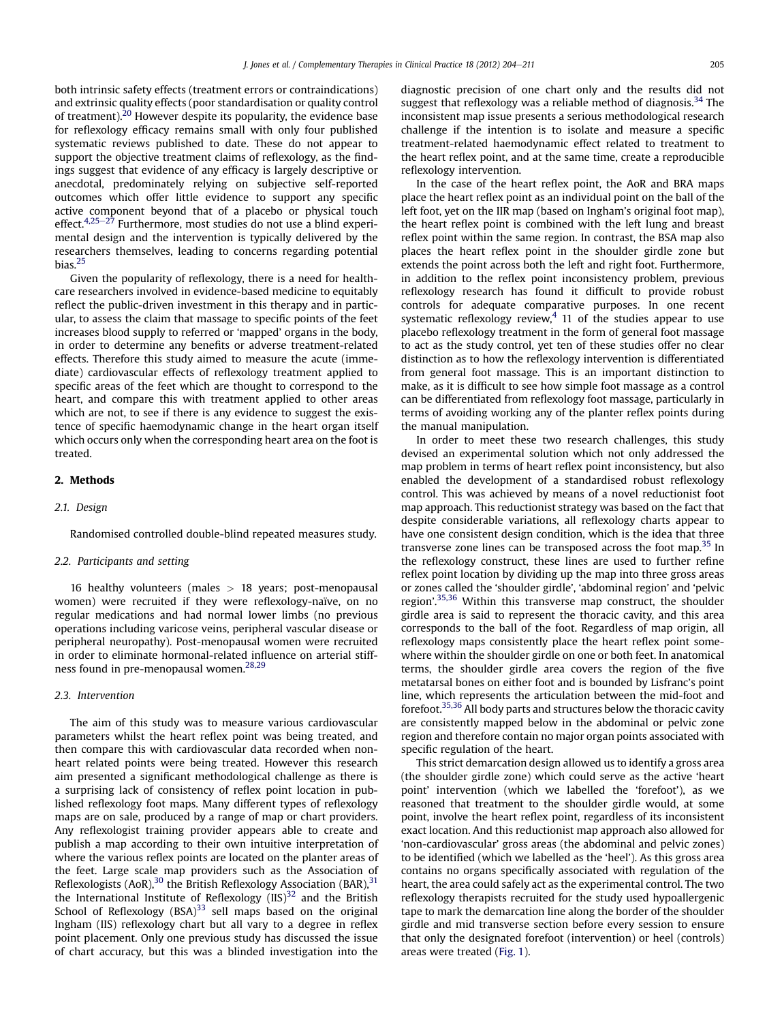both intrinsic safety effects (treatment errors or contraindications) and extrinsic quality effects (poor standardisation or quality control of treatment).<sup>[20](#page-7-0)</sup> However despite its popularity, the evidence base for reflexology efficacy remains small with only four published systematic reviews published to date. These do not appear to support the objective treatment claims of reflexology, as the findings suggest that evidence of any efficacy is largely descriptive or anecdotal, predominately relying on subjective self-reported outcomes which offer little evidence to support any specific active component beyond that of a placebo or physical touch effect. $4.25-27$  $4.25-27$  Furthermore, most studies do not use a blind experimental design and the intervention is typically delivered by the researchers themselves, leading to concerns regarding potential bias.<sup>25</sup>

Given the popularity of reflexology, there is a need for healthcare researchers involved in evidence-based medicine to equitably reflect the public-driven investment in this therapy and in particular, to assess the claim that massage to specific points of the feet increases blood supply to referred or 'mapped' organs in the body, in order to determine any benefits or adverse treatment-related effects. Therefore this study aimed to measure the acute (immediate) cardiovascular effects of reflexology treatment applied to specific areas of the feet which are thought to correspond to the heart, and compare this with treatment applied to other areas which are not, to see if there is any evidence to suggest the existence of specific haemodynamic change in the heart organ itself which occurs only when the corresponding heart area on the foot is treated.

#### 2. Methods

## 2.1. Design

Randomised controlled double-blind repeated measures study.

#### 2.2. Participants and setting

16 healthy volunteers (males  $> 18$  years; post-menopausal women) were recruited if they were reflexology-naïve, on no regular medications and had normal lower limbs (no previous operations including varicose veins, peripheral vascular disease or peripheral neuropathy). Post-menopausal women were recruited in order to eliminate hormonal-related influence on arterial stiff-ness found in pre-menopausal women.<sup>[28,29](#page-7-0)</sup>

#### 2.3. Intervention

The aim of this study was to measure various cardiovascular parameters whilst the heart reflex point was being treated, and then compare this with cardiovascular data recorded when nonheart related points were being treated. However this research aim presented a significant methodological challenge as there is a surprising lack of consistency of reflex point location in published reflexology foot maps. Many different types of reflexology maps are on sale, produced by a range of map or chart providers. Any reflexologist training provider appears able to create and publish a map according to their own intuitive interpretation of where the various reflex points are located on the planter areas of the feet. Large scale map providers such as the Association of Reflexologists (AoR), $30$  the British Reflexology Association (BAR), $31$ the International Institute of Reflexology  $(IIS)^{32}$  $(IIS)^{32}$  $(IIS)^{32}$  and the British School of Reflexology  $(BSA)^{33}$  $(BSA)^{33}$  $(BSA)^{33}$  sell maps based on the original Ingham (IIS) reflexology chart but all vary to a degree in reflex point placement. Only one previous study has discussed the issue of chart accuracy, but this was a blinded investigation into the diagnostic precision of one chart only and the results did not suggest that reflexology was a reliable method of diagnosis.<sup>[34](#page-7-0)</sup> The inconsistent map issue presents a serious methodological research challenge if the intention is to isolate and measure a specific treatment-related haemodynamic effect related to treatment to the heart reflex point, and at the same time, create a reproducible reflexology intervention.

In the case of the heart reflex point, the AoR and BRA maps place the heart reflex point as an individual point on the ball of the left foot, yet on the IIR map (based on Ingham's original foot map), the heart reflex point is combined with the left lung and breast reflex point within the same region. In contrast, the BSA map also places the heart reflex point in the shoulder girdle zone but extends the point across both the left and right foot. Furthermore, in addition to the reflex point inconsistency problem, previous reflexology research has found it difficult to provide robust controls for adequate comparative purposes. In one recent systematic reflexology review, $4$  11 of the studies appear to use placebo reflexology treatment in the form of general foot massage to act as the study control, yet ten of these studies offer no clear distinction as to how the reflexology intervention is differentiated from general foot massage. This is an important distinction to make, as it is difficult to see how simple foot massage as a control can be differentiated from reflexology foot massage, particularly in terms of avoiding working any of the planter reflex points during the manual manipulation.

In order to meet these two research challenges, this study devised an experimental solution which not only addressed the map problem in terms of heart reflex point inconsistency, but also enabled the development of a standardised robust reflexology control. This was achieved by means of a novel reductionist foot map approach. This reductionist strategy was based on the fact that despite considerable variations, all reflexology charts appear to have one consistent design condition, which is the idea that three transverse zone lines can be transposed across the foot map.<sup>[35](#page-7-0)</sup> In the reflexology construct, these lines are used to further refine reflex point location by dividing up the map into three gross areas or zones called the 'shoulder girdle', 'abdominal region' and 'pelvic region'.<sup>[35,36](#page-7-0)</sup> Within this transverse map construct, the shoulder girdle area is said to represent the thoracic cavity, and this area corresponds to the ball of the foot. Regardless of map origin, all reflexology maps consistently place the heart reflex point somewhere within the shoulder girdle on one or both feet. In anatomical terms, the shoulder girdle area covers the region of the five metatarsal bones on either foot and is bounded by Lisfranc's point line, which represents the articulation between the mid-foot and forefoot[.35,36](#page-7-0) All body parts and structures below the thoracic cavity are consistently mapped below in the abdominal or pelvic zone region and therefore contain no major organ points associated with specific regulation of the heart.

This strict demarcation design allowed us to identify a gross area (the shoulder girdle zone) which could serve as the active 'heart point' intervention (which we labelled the 'forefoot'), as we reasoned that treatment to the shoulder girdle would, at some point, involve the heart reflex point, regardless of its inconsistent exact location. And this reductionist map approach also allowed for 'non-cardiovascular' gross areas (the abdominal and pelvic zones) to be identified (which we labelled as the 'heel'). As this gross area contains no organs specifically associated with regulation of the heart, the area could safely act as the experimental control. The two reflexology therapists recruited for the study used hypoallergenic tape to mark the demarcation line along the border of the shoulder girdle and mid transverse section before every session to ensure that only the designated forefoot (intervention) or heel (controls) areas were treated [\(Fig. 1](#page-2-0)).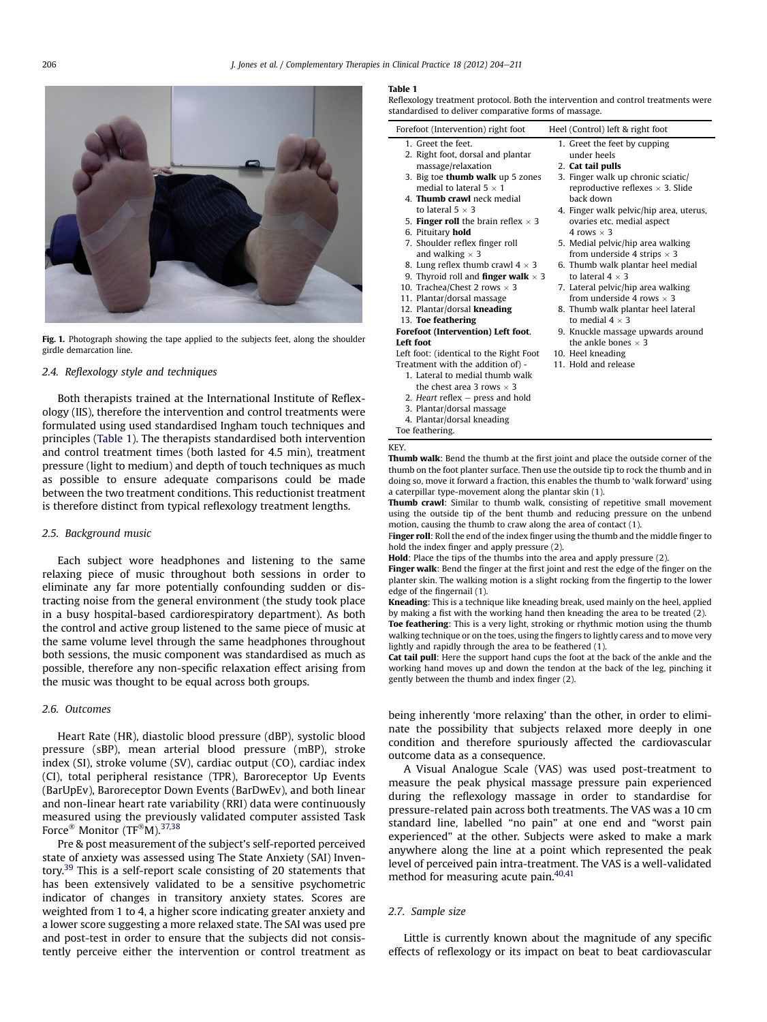<span id="page-2-0"></span>

Fig. 1. Photograph showing the tape applied to the subjects feet, along the shoulder girdle demarcation line.

### 2.4. Reflexology style and techniques

Both therapists trained at the International Institute of Reflexology (IIS), therefore the intervention and control treatments were formulated using used standardised Ingham touch techniques and principles (Table 1). The therapists standardised both intervention and control treatment times (both lasted for 4.5 min), treatment pressure (light to medium) and depth of touch techniques as much as possible to ensure adequate comparisons could be made between the two treatment conditions. This reductionist treatment is therefore distinct from typical reflexology treatment lengths.

#### 2.5. Background music

Each subject wore headphones and listening to the same relaxing piece of music throughout both sessions in order to eliminate any far more potentially confounding sudden or distracting noise from the general environment (the study took place in a busy hospital-based cardiorespiratory department). As both the control and active group listened to the same piece of music at the same volume level through the same headphones throughout both sessions, the music component was standardised as much as possible, therefore any non-specific relaxation effect arising from the music was thought to be equal across both groups.

## 2.6. Outcomes

Heart Rate (HR), diastolic blood pressure (dBP), systolic blood pressure (sBP), mean arterial blood pressure (mBP), stroke index (SI), stroke volume (SV), cardiac output (CO), cardiac index (CI), total peripheral resistance (TPR), Baroreceptor Up Events (BarUpEv), Baroreceptor Down Events (BarDwEv), and both linear and non-linear heart rate variability (RRI) data were continuously measured using the previously validated computer assisted Task Force® Monitor (TF®M).<sup>[37,38](#page-7-0)</sup>

Pre & post measurement of the subject's self-reported perceived state of anxiety was assessed using The State Anxiety (SAI) Inventory.[39](#page-7-0) This is a self-report scale consisting of 20 statements that has been extensively validated to be a sensitive psychometric indicator of changes in transitory anxiety states. Scores are weighted from 1 to 4, a higher score indicating greater anxiety and a lower score suggesting a more relaxed state. The SAI was used pre and post-test in order to ensure that the subjects did not consistently perceive either the intervention or control treatment as

#### Table 1

Reflexology treatment protocol. Both the intervention and control treatments were standardised to deliver comparative forms of massage.

| Forefoot (Intervention) right foot                | Heel (Control) left & right foot        |
|---------------------------------------------------|-----------------------------------------|
| 1. Greet the feet.                                | 1. Greet the feet by cupping            |
| 2. Right foot, dorsal and plantar                 | under heels                             |
| massage/relaxation                                | 2. Cat tail pulls                       |
| 3. Big toe <b>thumb walk</b> up 5 zones           | 3. Finger walk up chronic sciatic/      |
| medial to lateral $5 \times 1$                    | reproductive reflexes $\times$ 3. Slide |
| 4. <b>Thumb crawl</b> neck medial                 | back down                               |
| to lateral $5 \times 3$                           | 4. Finger walk pelvic/hip area, uterus, |
| 5. <b>Finger roll</b> the brain reflex $\times$ 3 | ovaries etc. medial aspect              |
| 6. Pituitary hold                                 | 4 rows $\times$ 3                       |
| 7. Shoulder reflex finger roll                    | 5. Medial pelvic/hip area walking       |
| and walking $\times$ 3                            | from underside 4 strips $\times$ 3      |
| 8. Lung reflex thumb crawl $4 \times 3$           | 6. Thumb walk plantar heel medial       |
| 9. Thyroid roll and <b>finger walk</b> $\times$ 3 | to lateral $4 \times 3$                 |
| 10. Trachea/Chest 2 rows $\times$ 3               | 7. Lateral pelvic/hip area walking      |
| 11. Plantar/dorsal massage                        | from underside 4 rows $\times$ 3        |
| 12. Plantar/dorsal kneading                       | 8. Thumb walk plantar heel lateral      |
| 13. Toe feathering                                | to medial $4 \times 3$                  |
| Forefoot (Intervention) Left foot.                | 9. Knuckle massage upwards around       |
| Left foot                                         | the ankle bones $\times$ 3              |
| Left foot: (identical to the Right Foot           | 10. Heel kneading                       |
| Treatment with the addition of) -                 | 11. Hold and release                    |
| 1. Lateral to medial thumb walk                   |                                         |
| the chest area 3 rows $\times$ 3                  |                                         |
| 2. Heart reflex $-$ press and hold                |                                         |

KEY.

Toe feathering.

3. Plantar/dorsal massage 4. Plantar/dorsal kneading

Thumb walk: Bend the thumb at the first joint and place the outside corner of the thumb on the foot planter surface. Then use the outside tip to rock the thumb and in doing so, move it forward a fraction, this enables the thumb to 'walk forward' using a caterpillar type-movement along the plantar skin (1).

Thumb crawl: Similar to thumb walk, consisting of repetitive small movement using the outside tip of the bent thumb and reducing pressure on the unbend motion, causing the thumb to craw along the area of contact (1).

Finger roll: Roll the end of the index finger using the thumb and the middle finger to hold the index finger and apply pressure (2).

Hold: Place the tips of the thumbs into the area and apply pressure (2).

Finger walk: Bend the finger at the first joint and rest the edge of the finger on the planter skin. The walking motion is a slight rocking from the fingertip to the lower edge of the fingernail (1).

Kneading: This is a technique like kneading break, used mainly on the heel, applied by making a fist with the working hand then kneading the area to be treated (2). Toe feathering: This is a very light, stroking or rhythmic motion using the thumb walking technique or on the toes, using the fingers to lightly caress and to move very

lightly and rapidly through the area to be feathered (1). Cat tail pull: Here the support hand cups the foot at the back of the ankle and the

working hand moves up and down the tendon at the back of the leg, pinching it gently between the thumb and index finger (2).

being inherently 'more relaxing' than the other, in order to eliminate the possibility that subjects relaxed more deeply in one condition and therefore spuriously affected the cardiovascular outcome data as a consequence.

A Visual Analogue Scale (VAS) was used post-treatment to measure the peak physical massage pressure pain experienced during the reflexology massage in order to standardise for pressure-related pain across both treatments. The VAS was a 10 cm standard line, labelled "no pain" at one end and "worst pain experienced" at the other. Subjects were asked to make a mark anywhere along the line at a point which represented the peak level of perceived pain intra-treatment. The VAS is a well-validated method for measuring acute pain.<sup>[40,41](#page-7-0)</sup>

#### 2.7. Sample size

Little is currently known about the magnitude of any specific effects of reflexology or its impact on beat to beat cardiovascular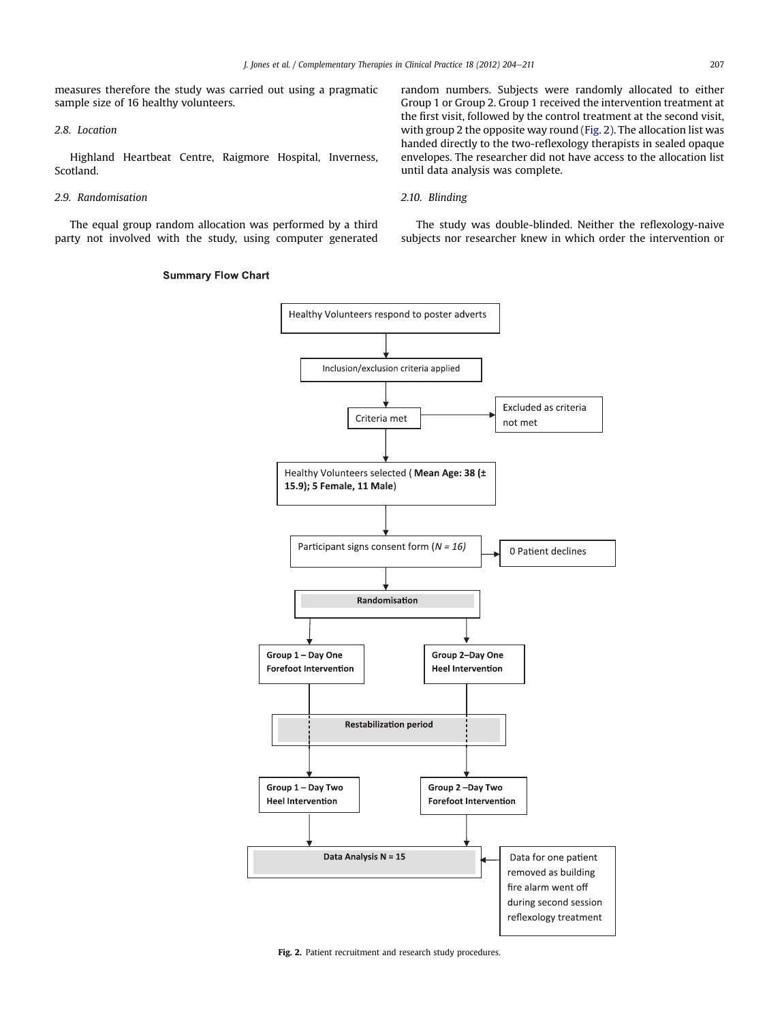measures therefore the study was carried out using a pragmatic sample size of 16 healthy volunteers.

## 2.8. Location

Highland Heartbeat Centre, Raigmore Hospital, Inverness, Scotland.

## 2.9. Randomisation

The equal group random allocation was performed by a third party not involved with the study, using computer generated

# **Summary Flow Chart**

random numbers. Subjects were randomly allocated to either Group 1 or Group 2. Group 1 received the intervention treatment at the first visit, followed by the control treatment at the second visit, with group 2 the opposite way round (Fig. 2). The allocation list was handed directly to the two-reflexology therapists in sealed opaque envelopes. The researcher did not have access to the allocation list until data analysis was complete.

# 2.10. Blinding

The study was double-blinded. Neither the reflexology-naive subjects nor researcher knew in which order the intervention or

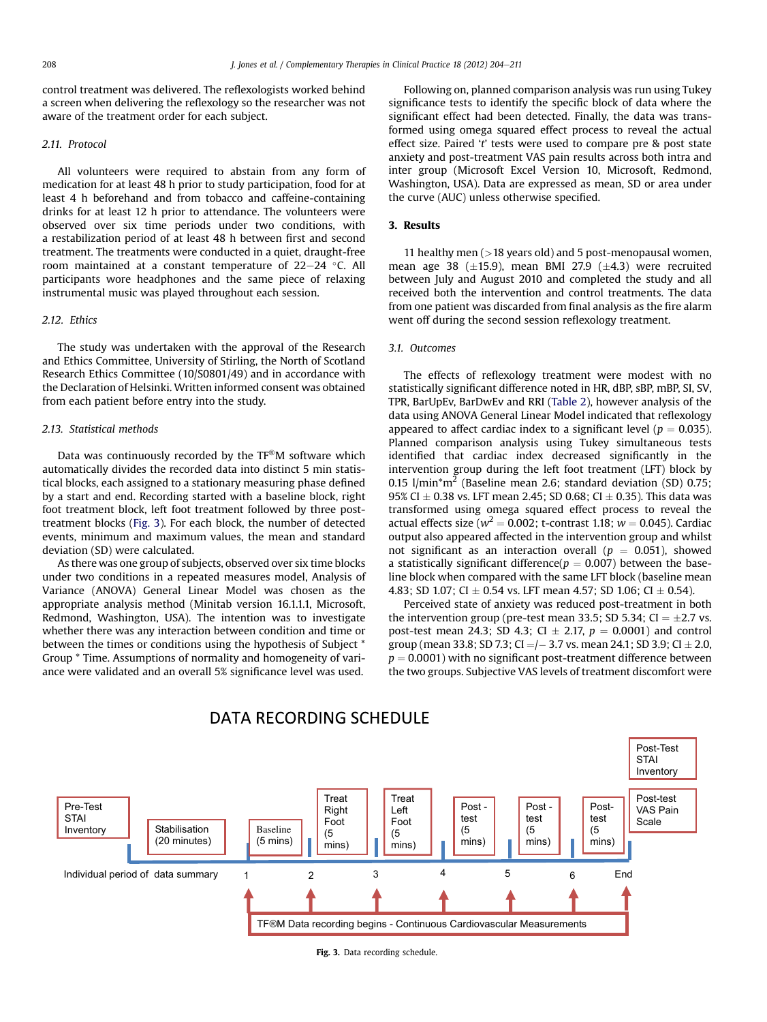control treatment was delivered. The reflexologists worked behind a screen when delivering the reflexology so the researcher was not aware of the treatment order for each subject.

## 2.11. Protocol

All volunteers were required to abstain from any form of medication for at least 48 h prior to study participation, food for at least 4 h beforehand and from tobacco and caffeine-containing drinks for at least 12 h prior to attendance. The volunteers were observed over six time periods under two conditions, with a restabilization period of at least 48 h between first and second treatment. The treatments were conducted in a quiet, draught-free room maintained at a constant temperature of  $22-24$  °C. All participants wore headphones and the same piece of relaxing instrumental music was played throughout each session.

#### 2.12. Ethics

The study was undertaken with the approval of the Research and Ethics Committee, University of Stirling, the North of Scotland Research Ethics Committee (10/S0801/49) and in accordance with the Declaration of Helsinki. Written informed consent was obtained from each patient before entry into the study.

## 2.13. Statistical methods

Data was continuously recorded by the  $TF^{\circledast}M$  software which automatically divides the recorded data into distinct 5 min statistical blocks, each assigned to a stationary measuring phase defined by a start and end. Recording started with a baseline block, right foot treatment block, left foot treatment followed by three posttreatment blocks (Fig. 3). For each block, the number of detected events, minimum and maximum values, the mean and standard deviation (SD) were calculated.

As there was one group of subjects, observed over six time blocks under two conditions in a repeated measures model, Analysis of Variance (ANOVA) General Linear Model was chosen as the appropriate analysis method (Minitab version 16.1.1.1, Microsoft, Redmond, Washington, USA). The intention was to investigate whether there was any interaction between condition and time or between the times or conditions using the hypothesis of Subject \* Group \* Time. Assumptions of normality and homogeneity of variance were validated and an overall 5% significance level was used.

Following on, planned comparison analysis was run using Tukey significance tests to identify the specific block of data where the significant effect had been detected. Finally, the data was transformed using omega squared effect process to reveal the actual effect size. Paired 't' tests were used to compare pre & post state anxiety and post-treatment VAS pain results across both intra and inter group (Microsoft Excel Version 10, Microsoft, Redmond, Washington, USA). Data are expressed as mean, SD or area under the curve (AUC) unless otherwise specified.

## 3. Results

11 healthy men  $(>18$  years old) and 5 post-menopausal women, mean age 38 ( $\pm$ 15.9), mean BMI 27.9 ( $\pm$ 4.3) were recruited between July and August 2010 and completed the study and all received both the intervention and control treatments. The data from one patient was discarded from final analysis as the fire alarm went off during the second session reflexology treatment.

## 3.1. Outcomes

The effects of reflexology treatment were modest with no statistically significant difference noted in HR, dBP, sBP, mBP, SI, SV, TPR, BarUpEv, BarDwEv and RRI [\(Table 2\)](#page-5-0), however analysis of the data using ANOVA General Linear Model indicated that reflexology appeared to affect cardiac index to a significant level ( $p = 0.035$ ). Planned comparison analysis using Tukey simultaneous tests identified that cardiac index decreased significantly in the intervention group during the left foot treatment (LFT) block by 0.15  $1/\text{min}^* \text{m}^2$  (Baseline mean 2.6; standard deviation (SD) 0.75; 95% CI  $\pm$  0.38 vs. LFT mean 2.45; SD 0.68; CI  $\pm$  0.35). This data was transformed using omega squared effect process to reveal the actual effects size ( $w^2 = 0.002$ ; t-contrast 1.18;  $w = 0.045$ ). Cardiac output also appeared affected in the intervention group and whilst not significant as an interaction overall ( $p = 0.051$ ), showed a statistically significant difference( $p = 0.007$ ) between the baseline block when compared with the same LFT block (baseline mean 4.83; SD 1.07; CI  $\pm$  0.54 vs. LFT mean 4.57; SD 1.06; CI  $\pm$  0.54).

Perceived state of anxiety was reduced post-treatment in both the intervention group (pre-test mean 33.5; SD 5.34; CI =  $\pm$ 2.7 vs. post-test mean 24.3; SD 4.3; CI  $\pm$  2.17,  $p = 0.0001$ ) and control group (mean 33.8; SD 7.3; CI =  $/$  3.7 vs. mean 24.1; SD 3.9; CI  $\pm$  2.0,  $p = 0.0001$ ) with no significant post-treatment difference between the two groups. Subjective VAS levels of treatment discomfort were



Fig. 3. Data recording schedule.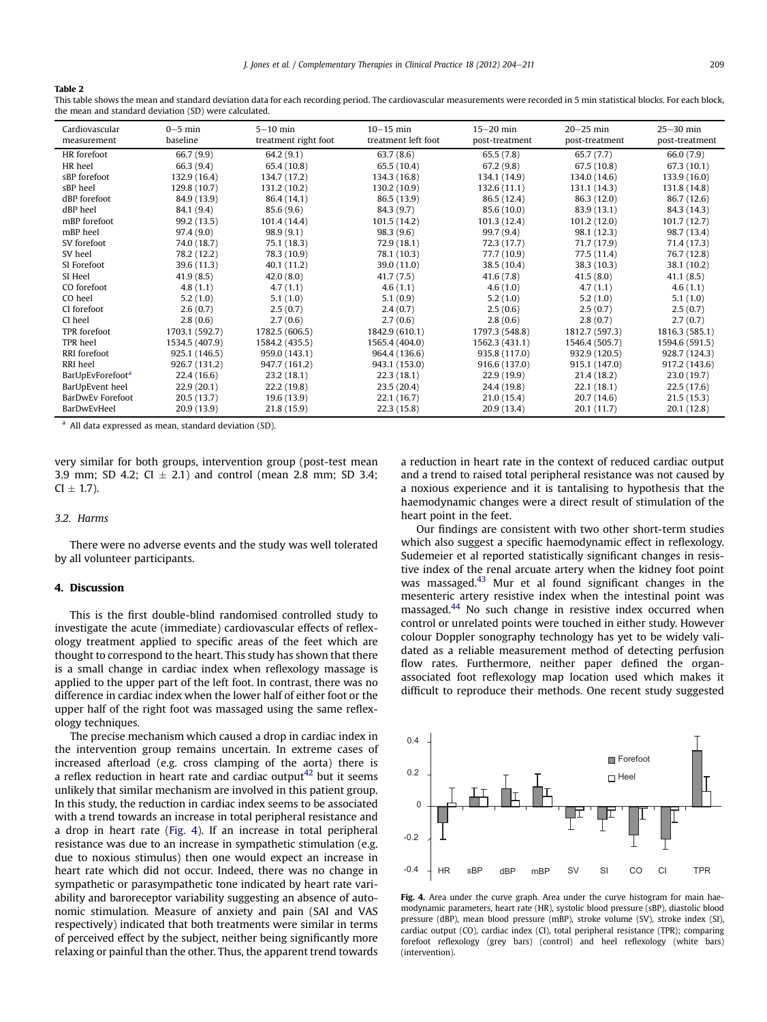#### <span id="page-5-0"></span>Table 2

This table shows the mean and standard deviation data for each recording period. The cardiovascular measurements were recorded in 5 min statistical blocks. For each block, the mean and standard deviation (SD) were calculated.

| Cardiovascular<br>measurement | $0-5$ min<br>baseline | $5-10$ min<br>treatment right foot | $10 - 15$ min<br>treatment left foot | $15 - 20$ min<br>post-treatment | $20 - 25$ min<br>post-treatment | $25 - 30$ min<br>post-treatment |
|-------------------------------|-----------------------|------------------------------------|--------------------------------------|---------------------------------|---------------------------------|---------------------------------|
| HR forefoot                   | 66.7(9.9)             | 64.2(9.1)                          | 63.7(8.6)                            | 65.5(7.8)                       | 65.7(7.7)                       | 66.0 (7.9)                      |
| HR heel                       | 66.3 (9.4)            | 65.4 (10.8)                        | 65.5 (10.4)                          | 67.2(9.8)                       | 67.5(10.8)                      | 67.3(10.1)                      |
| sBP forefoot                  | 132.9 (16.4)          | 134.7 (17.2)                       | 134.3 (16.8)                         | 134.1 (14.9)                    | 134.0 (14.6)                    | 133.9 (16.0)                    |
| sBP heel                      | 129.8 (10.7)          | 131.2 (10.2)                       | 130.2 (10.9)                         | 132.6(11.1)                     | 131.1 (14.3)                    | 131.8 (14.8)                    |
| dBP forefoot                  | 84.9 (13.9)           | 86.4 (14.1)                        | 86.5 (13.9)                          | 86.5 (12.4)                     | 86.3 (12.0)                     | 86.7 (12.6)                     |
| dBP heel                      | 84.1 (9.4)            | 85.6 (9.6)                         | 84.3 (9.7)                           | 85.6 (10.0)                     | 83.9 (13.1)                     | 84.3 (14.3)                     |
| mBP forefoot                  | 99.2 (13.5)           | 101.4 (14.4)                       | 101.5(14.2)                          | 101.3(12.4)                     | 101.2(12.0)                     | 101.7(12.7)                     |
| mBP heel                      | 97.4(9.0)             | 98.9(9.1)                          | 98.3(9.6)                            | 99.7 (9.4)                      | 98.1 (12.3)                     | 98.7 (13.4)                     |
| SV forefoot                   | 74.0 (18.7)           | 75.1 (18.3)                        | 72.9(18.1)                           | 72.3 (17.7)                     | 71.7 (17.9)                     | 71.4 (17.3)                     |
| SV heel                       | 78.2 (12.2)           | 78.3 (10.9)                        | 78.1 (10.3)                          | 77.7 (10.9)                     | 77.5 (11.4)                     | 76.7 (12.8)                     |
| SI Forefoot                   | 39.6 (11.3)           | 40.1(11.2)                         | 39.0 (11.0)                          | 38.5 (10.4)                     | 38.3(10.3)                      | 38.1 (10.2)                     |
| SI Heel                       | 41.9(8.5)             | 42.0(8.0)                          | 41.7(7.5)                            | 41.6(7.8)                       | 41.5(8.0)                       | 41.1(8.5)                       |
| CO forefoot                   | 4.8(1.1)              | 4.7(1.1)                           | 4.6(1.1)                             | 4.6(1.0)                        | 4.7(1.1)                        | 4.6(1.1)                        |
| CO heel                       | 5.2(1.0)              | 5.1(1.0)                           | 5.1(0.9)                             | 5.2(1.0)                        | 5.2(1.0)                        | 5.1(1.0)                        |
| CI forefoot                   | 2.6(0.7)              | 2.5(0.7)                           | 2.4(0.7)                             | 2.5(0.6)                        | 2.5(0.7)                        | 2.5(0.7)                        |
| CI heel                       | 2.8(0.6)              | 2.7(0.6)                           | 2.7(0.6)                             | 2.8(0.6)                        | 2.8(0.7)                        | 2.7(0.7)                        |
| TPR forefoot                  | 1703.1 (592.7)        | 1782.5 (606.5)                     | 1842.9 (610.1)                       | 1797.3 (548.8)                  | 1812.7 (597.3)                  | 1816.3 (585.1)                  |
| TPR heel                      | 1534.5 (407.9)        | 1584.2 (435.5)                     | 1565.4 (404.0)                       | 1562.3 (431.1)                  | 1546.4 (505.7)                  | 1594.6 (591.5)                  |
| RRI forefoot                  | 925.1 (146.5)         | 959.0 (143.1)                      | 964.4 (136.6)                        | 935.8 (117.0)                   | 932.9 (120.5)                   | 928.7 (124.3)                   |
| RRI heel                      | 926.7 (131.2)         | 947.7 (161.2)                      | 943.1 (153.0)                        | 916.6 (137.0)                   | 915.1 (147.0)                   | 917.2 (143.6)                   |
| BarUpEvForefoot <sup>a</sup>  | 22.4(16.6)            | 23.2(18.1)                         | 22.3(18.1)                           | 22.9(19.9)                      | 21.4(18.2)                      | 23.0(19.7)                      |
| BarUpEvent heel               | 22.9(20.1)            | 22.2(19.8)                         | 23.5(20.4)                           | 24.4 (19.8)                     | 22.1(18.1)                      | 22.5(17.6)                      |
| BarDwEy Forefoot              | 20.5(13.7)            | 19.6 (13.9)                        | 22.1 (16.7)                          | 21.0(15.4)                      | 20.7(14.6)                      | 21.5(15.3)                      |
| BarDwEvHeel                   | 20.9(13.9)            | 21.8(15.9)                         | 22.3 (15.8)                          | 20.9(13.4)                      | 20.1 (11.7)                     | 20.1 (12.8)                     |

<sup>a</sup> All data expressed as mean, standard deviation (SD).

very similar for both groups, intervention group (post-test mean 3.9 mm; SD 4.2; CI  $\pm$  2.1) and control (mean 2.8 mm; SD 3.4;  $CI \pm 1.7$ ).

#### 3.2. Harms

There were no adverse events and the study was well tolerated by all volunteer participants.

#### 4. Discussion

This is the first double-blind randomised controlled study to investigate the acute (immediate) cardiovascular effects of reflexology treatment applied to specific areas of the feet which are thought to correspond to the heart. This study has shown that there is a small change in cardiac index when reflexology massage is applied to the upper part of the left foot. In contrast, there was no difference in cardiac index when the lower half of either foot or the upper half of the right foot was massaged using the same reflexology techniques.

The precise mechanism which caused a drop in cardiac index in the intervention group remains uncertain. In extreme cases of increased afterload (e.g. cross clamping of the aorta) there is a reflex reduction in heart rate and cardiac output<sup>42</sup> but it seems unlikely that similar mechanism are involved in this patient group. In this study, the reduction in cardiac index seems to be associated with a trend towards an increase in total peripheral resistance and a drop in heart rate (Fig. 4). If an increase in total peripheral resistance was due to an increase in sympathetic stimulation (e.g. due to noxious stimulus) then one would expect an increase in heart rate which did not occur. Indeed, there was no change in sympathetic or parasympathetic tone indicated by heart rate variability and baroreceptor variability suggesting an absence of autonomic stimulation. Measure of anxiety and pain (SAI and VAS respectively) indicated that both treatments were similar in terms of perceived effect by the subject, neither being significantly more relaxing or painful than the other. Thus, the apparent trend towards

a reduction in heart rate in the context of reduced cardiac output and a trend to raised total peripheral resistance was not caused by a noxious experience and it is tantalising to hypothesis that the haemodynamic changes were a direct result of stimulation of the heart point in the feet.

Our findings are consistent with two other short-term studies which also suggest a specific haemodynamic effect in reflexology. Sudemeier et al reported statistically significant changes in resistive index of the renal arcuate artery when the kidney foot point was massaged[.43](#page-7-0) Mur et al found significant changes in the mesenteric artery resistive index when the intestinal point was massaged[.44](#page-7-0) No such change in resistive index occurred when control or unrelated points were touched in either study. However colour Doppler sonography technology has yet to be widely validated as a reliable measurement method of detecting perfusion flow rates. Furthermore, neither paper defined the organassociated foot reflexology map location used which makes it difficult to reproduce their methods. One recent study suggested



Fig. 4. Area under the curve graph. Area under the curve histogram for main haemodynamic parameters, heart rate (HR), systolic blood pressure (sBP), diastolic blood pressure (dBP), mean blood pressure (mBP), stroke volume (SV), stroke index (SI), cardiac output (CO), cardiac index (CI), total peripheral resistance (TPR); comparing forefoot reflexology (grey bars) (control) and heel reflexology (white bars) (intervention).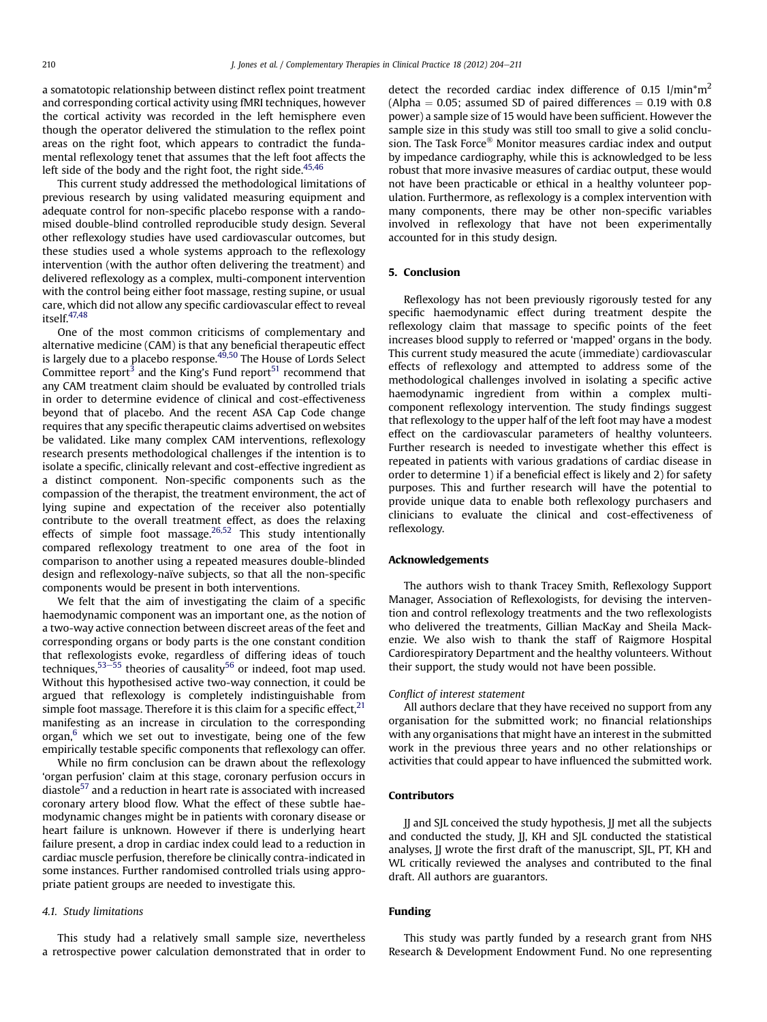a somatotopic relationship between distinct reflex point treatment and corresponding cortical activity using fMRI techniques, however the cortical activity was recorded in the left hemisphere even though the operator delivered the stimulation to the reflex point areas on the right foot, which appears to contradict the fundamental reflexology tenet that assumes that the left foot affects the left side of the body and the right foot, the right side.<sup>[45,46](#page-7-0)</sup>

This current study addressed the methodological limitations of previous research by using validated measuring equipment and adequate control for non-specific placebo response with a randomised double-blind controlled reproducible study design. Several other reflexology studies have used cardiovascular outcomes, but these studies used a whole systems approach to the reflexology intervention (with the author often delivering the treatment) and delivered reflexology as a complex, multi-component intervention with the control being either foot massage, resting supine, or usual care, which did not allow any specific cardiovascular effect to reveal itself.[47,48](#page-7-0)

One of the most common criticisms of complementary and alternative medicine (CAM) is that any beneficial therapeutic effect is largely due to a placebo response.<sup>[49,50](#page-7-0)</sup> The House of Lords Select Committee report<sup>[3](#page-7-0)</sup> and the King's Fund report<sup>[51](#page-7-0)</sup> recommend that any CAM treatment claim should be evaluated by controlled trials in order to determine evidence of clinical and cost-effectiveness beyond that of placebo. And the recent ASA Cap Code change requires that any specific therapeutic claims advertised on websites be validated. Like many complex CAM interventions, reflexology research presents methodological challenges if the intention is to isolate a specific, clinically relevant and cost-effective ingredient as a distinct component. Non-specific components such as the compassion of the therapist, the treatment environment, the act of lying supine and expectation of the receiver also potentially contribute to the overall treatment effect, as does the relaxing effects of simple foot massage. $26,52$  This study intentionally compared reflexology treatment to one area of the foot in comparison to another using a repeated measures double-blinded design and reflexology-naïve subjects, so that all the non-specific components would be present in both interventions.

We felt that the aim of investigating the claim of a specific haemodynamic component was an important one, as the notion of a two-way active connection between discreet areas of the feet and corresponding organs or body parts is the one constant condition that reflexologists evoke, regardless of differing ideas of touch techniques,  $53-55$  $53-55$  $53-55$  theories of causality<sup>[56](#page-7-0)</sup> or indeed, foot map used. Without this hypothesised active two-way connection, it could be argued that reflexology is completely indistinguishable from simple foot massage. Therefore it is this claim for a specific effect, $21$ manifesting as an increase in circulation to the corresponding  $organ<sub>o</sub><sup>6</sup>$  $organ<sub>o</sub><sup>6</sup>$  $organ<sub>o</sub><sup>6</sup>$  which we set out to investigate, being one of the few empirically testable specific components that reflexology can offer.

While no firm conclusion can be drawn about the reflexology 'organ perfusion' claim at this stage, coronary perfusion occurs in diastole<sup>57</sup> and a reduction in heart rate is associated with increased coronary artery blood flow. What the effect of these subtle haemodynamic changes might be in patients with coronary disease or heart failure is unknown. However if there is underlying heart failure present, a drop in cardiac index could lead to a reduction in cardiac muscle perfusion, therefore be clinically contra-indicated in some instances. Further randomised controlled trials using appropriate patient groups are needed to investigate this.

#### 4.1. Study limitations

This study had a relatively small sample size, nevertheless a retrospective power calculation demonstrated that in order to detect the recorded cardiac index difference of 0.15  $1/\text{min}^* \text{m}^2$ (Alpha  $= 0.05$ ; assumed SD of paired differences  $= 0.19$  with 0.8 power) a sample size of 15 would have been sufficient. However the sample size in this study was still too small to give a solid conclusion. The Task Force® Monitor measures cardiac index and output by impedance cardiography, while this is acknowledged to be less robust that more invasive measures of cardiac output, these would not have been practicable or ethical in a healthy volunteer population. Furthermore, as reflexology is a complex intervention with many components, there may be other non-specific variables involved in reflexology that have not been experimentally accounted for in this study design.

#### 5. Conclusion

Reflexology has not been previously rigorously tested for any specific haemodynamic effect during treatment despite the reflexology claim that massage to specific points of the feet increases blood supply to referred or 'mapped' organs in the body. This current study measured the acute (immediate) cardiovascular effects of reflexology and attempted to address some of the methodological challenges involved in isolating a specific active haemodynamic ingredient from within a complex multicomponent reflexology intervention. The study findings suggest that reflexology to the upper half of the left foot may have a modest effect on the cardiovascular parameters of healthy volunteers. Further research is needed to investigate whether this effect is repeated in patients with various gradations of cardiac disease in order to determine 1) if a beneficial effect is likely and 2) for safety purposes. This and further research will have the potential to provide unique data to enable both reflexology purchasers and clinicians to evaluate the clinical and cost-effectiveness of reflexology.

## Acknowledgements

The authors wish to thank Tracey Smith, Reflexology Support Manager, Association of Reflexologists, for devising the intervention and control reflexology treatments and the two reflexologists who delivered the treatments, Gillian MacKay and Sheila Mackenzie. We also wish to thank the staff of Raigmore Hospital Cardiorespiratory Department and the healthy volunteers. Without their support, the study would not have been possible.

#### Conflict of interest statement

All authors declare that they have received no support from any organisation for the submitted work; no financial relationships with any organisations that might have an interest in the submitted work in the previous three years and no other relationships or activities that could appear to have influenced the submitted work.

#### Contributors

JJ and SJL conceived the study hypothesis, JJ met all the subjects and conducted the study, JJ, KH and SJL conducted the statistical analyses, JJ wrote the first draft of the manuscript, SJL, PT, KH and WL critically reviewed the analyses and contributed to the final draft. All authors are guarantors.

#### Funding

This study was partly funded by a research grant from NHS Research & Development Endowment Fund. No one representing